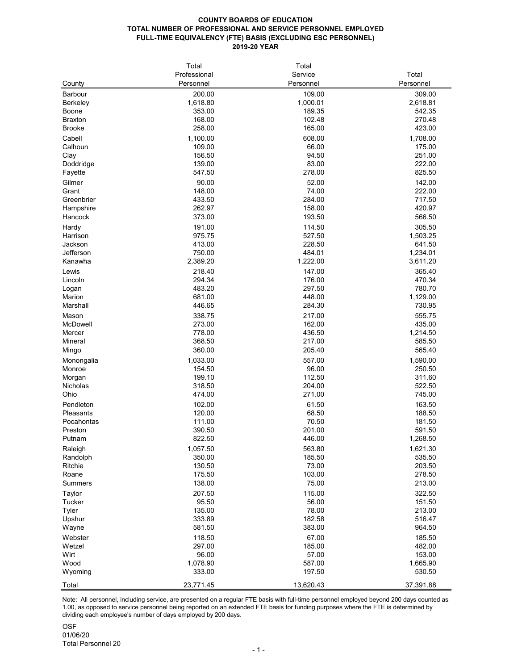## **COUNTY BOARDS OF EDUCATION TOTAL NUMBER OF PROFESSIONAL AND SERVICE PERSONNEL EMPLOYED FULL-TIME EQUIVALENCY (FTE) BASIS (EXCLUDING ESC PERSONNEL) 2019-20 YEAR**

**OSF** 01/06/20 Total Personnel 20

|                      | Total           | Total     |           |
|----------------------|-----------------|-----------|-----------|
|                      | Professional    | Service   | Total     |
| County               | Personnel       | Personnel | Personnel |
| <b>Barbour</b>       | 200.00          | 109.00    | 309.00    |
| <b>Berkeley</b>      | 1,618.80        | 1,000.01  | 2,618.81  |
| <b>Boone</b>         | 353.00          | 189.35    | 542.35    |
| <b>Braxton</b>       | 168.00          | 102.48    | 270.48    |
| <b>Brooke</b>        | 258.00          | 165.00    | 423.00    |
| Cabell               | 1,100.00        | 608.00    | 1,708.00  |
| Calhoun              | 109.00          | 66.00     | 175.00    |
| Clay                 | 156.50          | 94.50     | 251.00    |
| Doddridge            | 139.00          | 83.00     | 222.00    |
| Fayette              | 547.50          | 278.00    | 825.50    |
|                      |                 | 52.00     | 142.00    |
| Gilmer               | 90.00<br>148.00 | 74.00     | 222.00    |
| Grant                | 433.50          | 284.00    | 717.50    |
| Greenbrier           | 262.97          | 158.00    | 420.97    |
| Hampshire<br>Hancock | 373.00          | 193.50    | 566.50    |
|                      |                 |           |           |
| Hardy                | 191.00          | 114.50    | 305.50    |
| Harrison             | 975.75          | 527.50    | 1,503.25  |
| Jackson              | 413.00          | 228.50    | 641.50    |
| Jefferson            | 750.00          | 484.01    | 1,234.01  |
| Kanawha              | 2,389.20        | 1,222.00  | 3,611.20  |
| Lewis                | 218.40          | 147.00    | 365.40    |
| Lincoln              | 294.34          | 176.00    | 470.34    |
| Logan                | 483.20          | 297.50    | 780.70    |
| Marion               | 681.00          | 448.00    | 1,129.00  |
| Marshall             | 446.65          | 284.30    | 730.95    |
| Mason                | 338.75          | 217.00    | 555.75    |
| McDowell             | 273.00          | 162.00    | 435.00    |
| Mercer               | 778.00          | 436.50    | 1,214.50  |
| <b>Mineral</b>       | 368.50          | 217.00    | 585.50    |
| Mingo                | 360.00          | 205.40    | 565.40    |
| Monongalia           | 1,033.00        | 557.00    | 1,590.00  |
| Monroe               | 154.50          | 96.00     | 250.50    |
| Morgan               | 199.10          | 112.50    | 311.60    |
| <b>Nicholas</b>      | 318.50          | 204.00    | 522.50    |
| Ohio                 | 474.00          | 271.00    | 745.00    |
| Pendleton            | 102.00          | 61.50     | 163.50    |
| <b>Pleasants</b>     | 120.00          | 68.50     | 188.50    |
| Pocahontas           | 111.00          | 70.50     | 181.50    |
| Preston              | 390.50          | 201.00    | 591.50    |
| Putnam               | 822.50          | 446.00    | 1,268.50  |
| Raleigh              | 1,057.50        | 563.80    | 1,621.30  |
| Randolph             | 350.00          | 185.50    | 535.50    |
| <b>Ritchie</b>       | 130.50          | 73.00     | 203.50    |
| Roane                | 175.50          | 103.00    | 278.50    |
| <b>Summers</b>       | 138.00          | 75.00     | 213.00    |
| <b>Taylor</b>        | 207.50          | 115.00    | 322.50    |
| <b>Tucker</b>        | 95.50           | 56.00     | 151.50    |
| <b>Tyler</b>         | 135.00          | 78.00     | 213.00    |
| Upshur               | 333.89          | 182.58    | 516.47    |
| Wayne                | 581.50          | 383.00    | 964.50    |
| Webster              | 118.50          | 67.00     | 185.50    |
| Wetzel               | 297.00          | 185.00    | 482.00    |
| Wirt                 | 96.00           | 57.00     | 153.00    |
| Wood                 | 1,078.90        | 587.00    | 1,665.90  |
| Wyoming              | 333.00          | 197.50    | 530.50    |
|                      |                 |           |           |
| Total                | 23,771.45       | 13,620.43 | 37,391.88 |

Note: All personnel, including service, are presented on a regular FTE basis with full-time personnel employed beyond 200 days counted as 1.00, as opposed to service personnel being reported on an extended FTE basis for funding purposes where the FTE is determined by dividing each employee's number of days employed by 200 days.